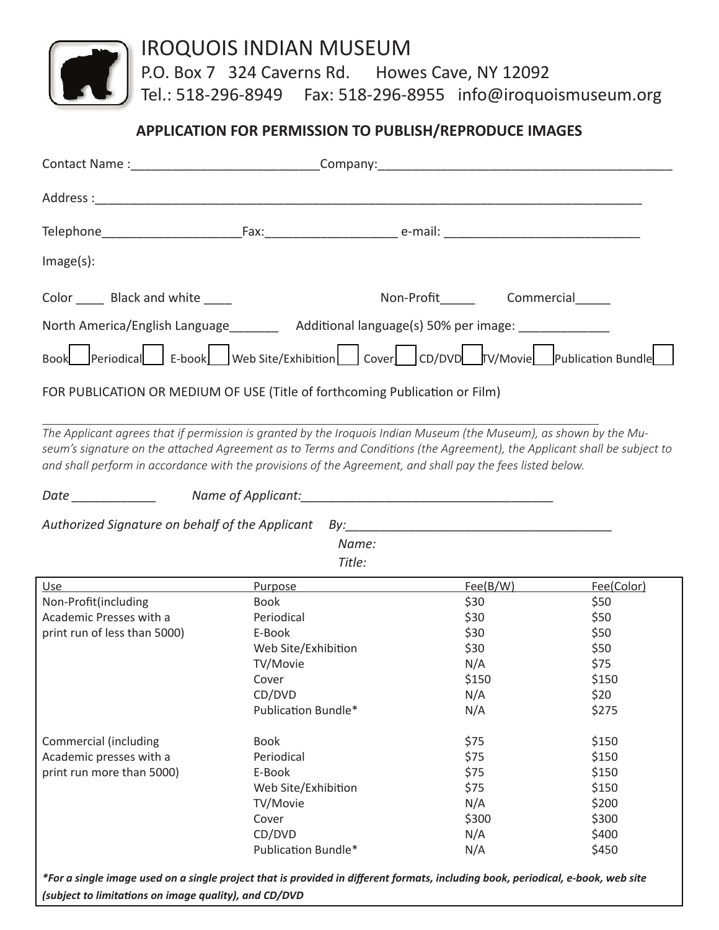

## **APPLICATION FOR PERMISSION TO PUBLISH/REPRODUCE IMAGES**

| Image(s):                                                                                    |  |                       |
|----------------------------------------------------------------------------------------------|--|-----------------------|
| Color Black and white                                                                        |  | Non-Profit Commercial |
| North America/English Language__________ Additional language(s) 50% per image: _____________ |  |                       |
| Book Periodical E-book Web Site/Exhibition Cover CD/DVD TV/Movie Publication Bundle          |  |                       |
| FOR PUBLICATION OR MEDIUM OF USE (Title of forthcoming Publication or Film)                  |  |                       |

\_\_ \_\_\_\_\_\_\_\_\_\_\_\_\_\_\_\_\_\_\_\_\_\_\_\_\_\_\_\_\_\_\_\_\_\_\_\_\_\_\_\_\_\_\_\_\_\_\_\_\_\_\_\_\_\_\_\_\_\_\_\_\_\_\_\_\_\_\_\_\_\_\_\_\_\_\_\_\_\_ *The Applicant agrees that if permission is granted by the Iroquois Indian Museum (the Museum), as shown by the Museum's signature on the attached Agreement as to Terms and Conditions (the Agreement), the Applicant shall be subject to and shall perform in accordance with the provisions of the Agreement, and shall pay the fees listed below.*

*Date \_\_\_\_\_\_\_\_\_\_\_\_ Name of Applicant:\_\_\_\_\_\_\_\_\_\_\_\_\_\_\_\_\_\_\_\_\_\_\_\_\_\_\_\_\_\_\_\_\_\_\_\_*

*Authorized Signature on behalf of the Applicant By:\_\_\_\_\_\_\_\_\_\_\_\_\_\_\_\_\_\_\_\_\_\_\_\_\_\_\_\_\_\_\_\_\_\_\_\_\_\_*

*Name: Title:*

| Use                          | <b>Purpose</b>      | Fee(B/W) | Fee(Color) |
|------------------------------|---------------------|----------|------------|
| Non-Profit(including         | Book                | \$30     | \$50       |
| Academic Presses with a      | Periodical          | \$30     | \$50       |
| print run of less than 5000) | E-Book              | \$30     | \$50       |
|                              | Web Site/Exhibition | \$30     | \$50       |
|                              | TV/Movie            | N/A      | \$75       |
|                              | Cover               | \$150    | \$150      |
|                              | CD/DVD              | N/A      | \$20       |
|                              | Publication Bundle* | N/A      | \$275      |
| Commercial (including        | <b>Book</b>         | \$75     | \$150      |
| Academic presses with a      | Periodical          | \$75     | \$150      |
| print run more than 5000)    | E-Book              | \$75     | \$150      |
|                              | Web Site/Exhibition | \$75     | \$150      |
|                              | TV/Movie            | N/A      | \$200      |
|                              | Cover               | \$300    | \$300      |
|                              | CD/DVD              | N/A      | \$400      |
|                              | Publication Bundle* | N/A      | \$450      |
|                              |                     |          |            |

*\*For a single image used on a single project that is provided in different formats, including book, periodical, e-book, web site (subject to limitations on image quality), and CD/DVD*